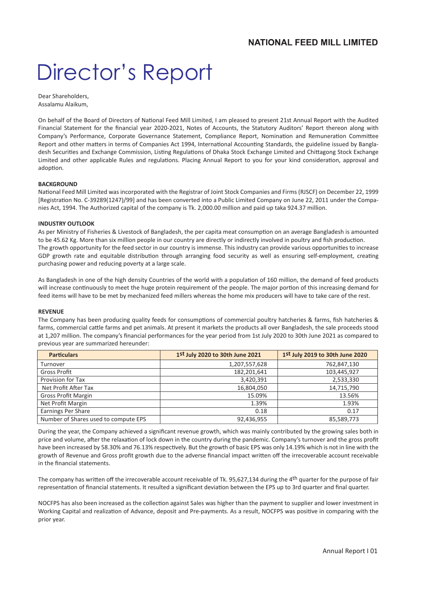# Director's Report

Dear Shareholders, Assalamu Alaikum,

On behalf of the Board of Directors of National Feed Mill Limited, I am pleased to present 21st Annual Report with the Audited Financial Statement for the financial year 2020-2021, Notes of Accounts, the Statutory Auditors' Report thereon along with Company's Performance, Corporate Governance Statement, Compliance Report, Nomination and Remuneration Committee Report and other matters in terms of Companies Act 1994, International Accounting Standards, the guideline issued by Bangladesh Securities and Exchange Commission, Listing Regulations of Dhaka Stock Exchange Limited and Chittagong Stock Exchange Limited and other applicable Rules and regulations. Placing Annual Report to you for your kind consideration, approval and adoption.

# **BACKGROUND**

Na�onal Feed Mill Limited was incorporated with the Registrar of Joint Stock Companies and Firms (RJSCF) on December 22, 1999 [Registration No. C-39289(1247)/99] and has been converted into a Public Limited Company on June 22, 2011 under the Companies Act, 1994. The Authorized capital of the company is Tk. 2,000.00 million and paid up taka 924.37 million.

# **INDUSTRY OUTLOOK**

As per Ministry of Fisheries & Livestock of Bangladesh, the per capita meat consumption on an average Bangladesh is amounted to be 45.62 Kg. More than six million people in our country are directly or indirectly involved in poultry and fish production. The growth opportunity for the feed sector in our country is immense. This industry can provide various opportuni�es to increase GDP growth rate and equitable distribution through arranging food security as well as ensuring self-employment, creating purchasing power and reducing poverty at a large scale.

As Bangladesh in one of the high density Countries of the world with a population of 160 million, the demand of feed products will increase continuously to meet the huge protein requirement of the people. The major portion of this increasing demand for feed items will have to be met by mechanized feed millers whereas the home mix producers will have to take care of the rest.

# **REVENUE**

The Company has been producing quality feeds for consumptions of commercial poultry hatcheries & farms, fish hatcheries & farms, commercial cattle farms and pet animals. At present it markets the products all over Bangladesh, the sale proceeds stood at 1,207 million. The company's financial performances for the year period from 1st July 2020 to 30th June 2021 as compared to previous year are summarized hereunder:

| <b>Particulars</b>                   | 1st July 2020 to 30th June 2021 | 1st July 2019 to 30th June 2020 |
|--------------------------------------|---------------------------------|---------------------------------|
| Turnover                             | 1,207,557,628                   | 762,847,130                     |
| <b>Gross Profit</b>                  | 182,201,641                     | 103,445,927                     |
| Provision for Tax                    | 3,420,391                       | 2,533,330                       |
| Net Profit After Tax                 | 16,804,050                      | 14,715,790                      |
| Gross Profit Margin                  | 15.09%                          | 13.56%                          |
| Net Profit Margin                    | 1.39%                           | 1.93%                           |
| <b>Earnings Per Share</b>            | 0.18                            | 0.17                            |
| Number of Shares used to compute EPS | 92,436,955                      | 85,589,773                      |

During the year, the Company achieved a significant revenue growth, which was mainly contributed by the growing sales both in price and volume, after the relaxation of lock down in the country during the pandemic. Company's turnover and the gross profit have been increased by 58.30% and 76.13% respectively. But the growth of basic EPS was only 14.19% which is not in line with the growth of Revenue and Gross profit growth due to the adverse financial impact written off the irrecoverable account receivable in the financial statements.

The company has written off the irrecoverable account receivable of Tk. 95,627,134 during the 4<sup>th</sup> quarter for the purpose of fair representation of financial statements. It resulted a significant deviation between the EPS up to 3rd quarter and final quarter.

NOCFPS has also been increased as the collection against Sales was higher than the payment to supplier and lower investment in Working Capital and realization of Advance, deposit and Pre-payments. As a result, NOCFPS was positive in comparing with the prior year.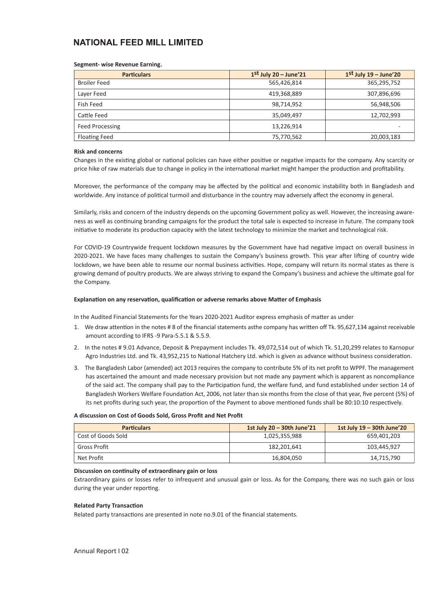#### **Segment- wise Revenue Earning.**

| <b>Particulars</b>     | $1st$ July 20 – June'21 | $1st$ July 19 – June'20 |
|------------------------|-------------------------|-------------------------|
| <b>Broiler Feed</b>    | 565,426,814             | 365,295,752             |
| Laver Feed             | 419,368,889             | 307,896,696             |
| Fish Feed              | 98,714,952              | 56,948,506              |
| Cattle Feed            | 35,049,497              | 12,702,993              |
| <b>Feed Processing</b> | 13.226.914              |                         |
| <b>Floating Feed</b>   | 75,770,562              | 20,003,183              |

# **Risk and concerns**

Changes in the existing global or national policies can have either positive or negative impacts for the company. Any scarcity or price hike of raw materials due to change in policy in the international market might hamper the production and profitability.

Moreover, the performance of the company may be affected by the political and economic instability both in Bangladesh and worldwide. Any instance of political turmoil and disturbance in the country may adversely affect the economy in general.

Similarly, risks and concern of the industry depends on the upcoming Government policy as well. However, the increasing awareness as well as continuing branding campaigns for the product the total sale is expected to increase in future. The company took initiative to moderate its production capacity with the latest technology to minimize the market and technological risk.

For COVID-19 Countrywide frequent lockdown measures by the Government have had negative impact on overall business in 2020-2021. We have faces many challenges to sustain the Company's business growth. This year after lifting of country wide lockdown, we have been able to resume our normal business activities. Hope, company will return its normal states as there is growing demand of poultry products. We are always striving to expand the Company's business and achieve the ultimate goal for the Company.

### Explanation on any reservation, qualification or adverse remarks above Matter of Emphasis

In the Audited Financial Statements for the Years 2020-2021 Auditor express emphasis of matter as under

- 1. We draw attention in the notes # 8 of the financial statements asthe company has written off Tk. 95,627,134 against receivable amount according to IFRS -9 Para-5.5.1 & 5.5.9.
- 2. In the notes # 9.01 Advance, Deposit & Prepayment includes Tk. 49,072,514 out of which Tk. 51,20,299 relates to Karnopur Agro Industries Ltd. and Tk. 43,952,215 to National Hatchery Ltd. which is given as advance without business consideration.
- 3. The Bangladesh Labor (amended) act 2013 requires the company to contribute 5% of its net profit to WPPF. The management has ascertained the amount and made necessary provision but not made any payment which is apparent as noncompliance of the said act. The company shall pay to the Participation fund, the welfare fund, and fund established under section 14 of Bangladesh Workers Welfare Foundation Act, 2006, not later than six months from the close of that year, five percent (5%) of its net profits during such year, the proportion of the Payment to above mentioned funds shall be 80:10:10 respectively.

# **A discussion on Cost of Goods Sold, Gross Profit and Net Profit**

| <b>Particulars</b> | 1st July $20 - 30$ th June' $21$ | 1st July $19 - 30$ th June'20 |
|--------------------|----------------------------------|-------------------------------|
| Cost of Goods Sold | 1.025.355.988                    | 659,401,203                   |
| Gross Profit       | 182,201,641                      | 103,445,927                   |
| Net Profit         | 16,804,050                       | 14,715,790                    |

#### **Discussion on con�nuity of extraordinary gain or loss**

Extraordinary gains or losses refer to infrequent and unusual gain or loss. As for the Company, there was no such gain or loss during the year under reporting.

## **Related Party Transaction**

Related party transactions are presented in note no.9.01 of the financial statements.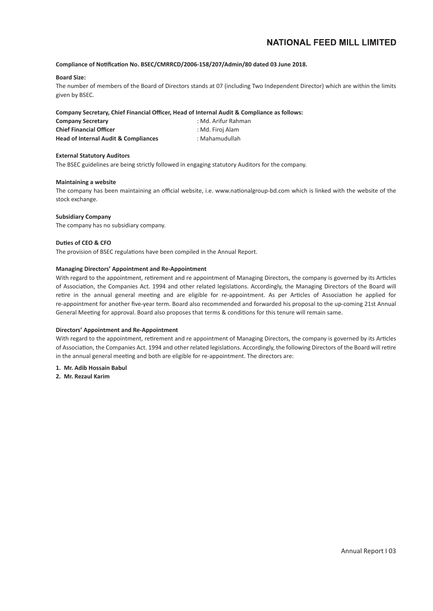## Compliance of Notification No. BSEC/CMRRCD/2006-158/207/Admin/80 dated 03 June 2018.

# **Board Size:**

The number of members of the Board of Directors stands at 07 (including Two Independent Director) which are within the limits given by BSEC.

#### **Company Secretary, Chief Financial Officer, Head of Internal Audit & Compliance as follows:**

| <b>Company Secretary</b>                        | : Md. Arifur Rahman |
|-------------------------------------------------|---------------------|
| <b>Chief Financial Officer</b>                  | : Md. Firoj Alam    |
| <b>Head of Internal Audit &amp; Compliances</b> | : Mahamudullah      |

#### **External Statutory Auditors**

The BSEC guidelines are being strictly followed in engaging statutory Auditors for the company.

#### **Maintaining a website**

The company has been maintaining an official website, i.e. www.nationalgroup-bd.com which is linked with the website of the stock exchange.

#### **Subsidiary Company**

The company has no subsidiary company.

#### **Du�es of CEO & CFO**

The provision of BSEC regulations have been compiled in the Annual Report.

#### **Managing Directors' Appointment and Re-Appointment**

With regard to the appointment, retirement and re appointment of Managing Directors, the company is governed by its Articles of Association, the Companies Act. 1994 and other related legislations. Accordingly, the Managing Directors of the Board will retire in the annual general meeting and are eligible for re-appointment. As per Articles of Association he applied for re-appointment for another five-year term. Board also recommended and forwarded his proposal to the up-coming 21st Annual General Meeting for approval. Board also proposes that terms & conditions for this tenure will remain same.

#### **Directors' Appointment and Re-Appointment**

With regard to the appointment, retirement and re appointment of Managing Directors, the company is governed by its Articles of Association, the Companies Act. 1994 and other related legislations. Accordingly, the following Directors of the Board will retire in the annual general meeting and both are eligible for re-appointment. The directors are:

- **1. Mr. Adib Hossain Babul**
- **2. Mr. Rezaul Karim**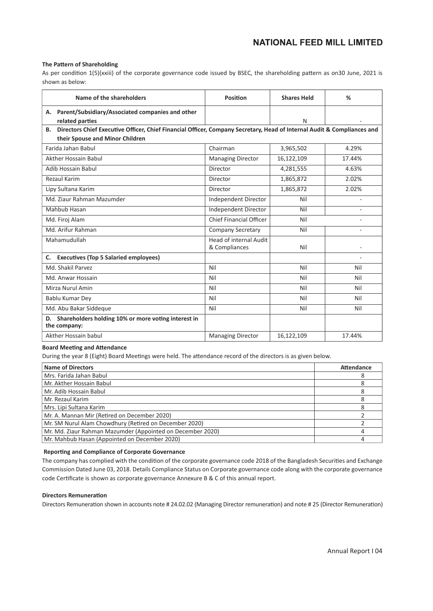## **The Pattern of Shareholding**

As per condition 1(5)(xxiii) of the corporate governance code issued by BSEC, the shareholding pattern as on30 June, 2021 is shown as below:

| Name of the shareholders                                                                                                      | <b>Position</b>                                | <b>Shares Held</b> | ℅      |
|-------------------------------------------------------------------------------------------------------------------------------|------------------------------------------------|--------------------|--------|
| Parent/Subsidiary/Associated companies and other<br>А.<br>related parties                                                     |                                                | N                  |        |
| Directors Chief Executive Officer, Chief Financial Officer, Company Secretary, Head of Internal Audit & Compliances and<br>В. |                                                |                    |        |
| their Spouse and Minor Children                                                                                               |                                                |                    |        |
| Farida Jahan Babul                                                                                                            | Chairman                                       | 3,965,502          | 4.29%  |
| Akther Hossain Babul                                                                                                          | <b>Managing Director</b>                       | 16,122,109         | 17.44% |
| Adib Hossain Babul                                                                                                            | Director                                       | 4,281,555          | 4.63%  |
| Rezaul Karim                                                                                                                  | Director                                       | 1,865,872          | 2.02%  |
| Lipy Sultana Karim                                                                                                            | Director                                       | 1,865,872          | 2.02%  |
| Md. Ziaur Rahman Mazumder                                                                                                     | Independent Director                           | Nil                |        |
| Mahbub Hasan                                                                                                                  | Independent Director                           | Nil                |        |
| Md. Firoj Alam                                                                                                                | <b>Chief Financial Officer</b>                 | Nil                |        |
| Md. Arifur Rahman                                                                                                             | <b>Company Secretary</b>                       | Nil                |        |
| Mahamudullah                                                                                                                  | <b>Head of internal Audit</b><br>& Compliances | Nil                |        |
| <b>Executives (Top 5 Salaried employees)</b><br>C.                                                                            |                                                |                    |        |
| Md. Shakil Parvez                                                                                                             | Nil                                            | Nil                | Nil    |
| Md. Anwar Hossain                                                                                                             | Nil                                            | Nil                | Nil    |
| Mirza Nurul Amin                                                                                                              | Nil                                            | Nil                | Nil    |
| Bablu Kumar Dey                                                                                                               | Nil                                            | Nil                | Nil    |
| Md. Abu Bakar Siddeque                                                                                                        | Nil                                            | Nil                | Nil    |
| Shareholders holding 10% or more voting interest in<br>D.<br>the company:                                                     |                                                |                    |        |
| Akther Hossain babul                                                                                                          | <b>Managing Director</b>                       | 16,122,109         | 17.44% |

# **Board Meeting and Attendance**

During the year 8 (Eight) Board Meetings were held. The attendance record of the directors is as given below.

| <b>Name of Directors</b>                                   | Attendance |
|------------------------------------------------------------|------------|
| Mrs. Farida Jahan Babul                                    |            |
| Mr. Akther Hossain Babul                                   |            |
| Mr. Adib Hossain Babul                                     |            |
| Mr. Rezaul Karim                                           |            |
| Mrs. Lipi Sultana Karim                                    |            |
| Mr. A. Mannan Mir (Retired on December 2020)               |            |
| Mr. SM Nurul Alam Chowdhury (Retired on December 2020)     |            |
| Mr. Md. Ziaur Rahman Mazumder (Appointed on December 2020) |            |
| Mr. Mahbub Hasan (Appointed on December 2020)              |            |

#### **Reporting and Compliance of Corporate Governance**

The company has complied with the condition of the corporate governance code 2018 of the Bangladesh Securities and Exchange Commission Dated June 03, 2018. Details Compliance Status on Corporate governance code along with the corporate governance code Certificate is shown as corporate governance Annexure B & C of this annual report.

# **Directors Remuneration**

Directors Remuneration shown in accounts note # 24.02.02 (Managing Director remuneration) and note # 25 (Director Remuneration)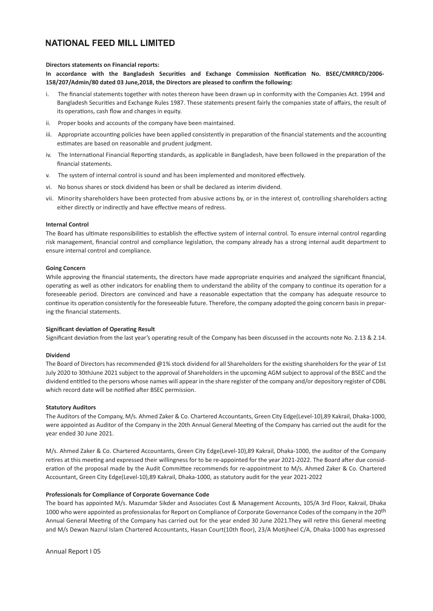#### **Directors statements on Financial reports:**

In accordance with the Bangladesh Securities and Exchange Commission Notification No. BSEC/CMRRCD/2006-**158/207/Admin/80 dated 03 June,2018, the Directors are pleased to confirm the following:** 

- i. The financial statements together with notes thereon have been drawn up in conformity with the Companies Act. 1994 and Bangladesh Securities and Exchange Rules 1987. These statements present fairly the companies state of affairs, the result of its operations, cash flow and changes in equity.
- ii. Proper books and accounts of the company have been maintained.
- iii. Appropriate accounting policies have been applied consistently in preparation of the financial statements and the accounting estimates are based on reasonable and prudent judgment.
- iv. The International Financial Reporting standards, as applicable in Bangladesh, have been followed in the preparation of the financial statements.
- v. The system of internal control is sound and has been implemented and monitored effectively.
- vi. No bonus shares or stock dividend has been or shall be declared as interim dividend.
- vii. Minority shareholders have been protected from abusive actions by, or in the interest of, controlling shareholders acting either directly or indirectly and have effective means of redress.

#### **Internal Control**

The Board has ultimate responsibilities to establish the effective system of internal control. To ensure internal control regarding risk management, financial control and compliance legislation, the company already has a strong internal audit department to ensure internal control and compliance.

#### **Going Concern**

While approving the financial statements, the directors have made appropriate enquiries and analyzed the significant financial, operating as well as other indicators for enabling them to understand the ability of the company to continue its operation for a foreseeable period. Directors are convinced and have a reasonable expectation that the company has adequate resource to continue its operation consistently for the foreseeable future. Therefore, the company adopted the going concern basis in preparing the financial statements.

#### **Significant deviation of Operating Result**

Significant deviation from the last year's operating result of the Company has been discussed in the accounts note No. 2.13 & 2.14.

#### **Dividend**

The Board of Directors has recommended @1% stock dividend for all Shareholders for the existing shareholders for the year of 1st July 2020 to 30thJune 2021 subject to the approval of Shareholders in the upcoming AGM subject to approval of the BSEC and the dividend entitled to the persons whose names will appear in the share register of the company and/or depository register of CDBL which record date will be notified after BSEC permission.

#### **Statutory Auditors**

The Auditors of the Company, M/s. Ahmed Zaker & Co. Chartered Accountants, Green City Edge(Level-10),89 Kakrail, Dhaka-1000, were appointed as Auditor of the Company in the 20th Annual General Meeting of the Company has carried out the audit for the year ended 30 June 2021.

M/s. Ahmed Zaker & Co. Chartered Accountants, Green City Edge(Level-10),89 Kakrail, Dhaka-1000, the auditor of the Company retires at this meeting and expressed their willingness for to be re-appointed for the year 2021-2022. The Board after due consideration of the proposal made by the Audit Committee recommends for re-appointment to M/s. Ahmed Zaker & Co. Chartered Accountant, Green City Edge(Level-10),89 Kakrail, Dhaka-1000, as statutory audit for the year 2021-2022

# **Professionals for Compliance of Corporate Governance Code**

The board has appointed M/s. Mazumdar Sikder and Associates Cost & Management Accounts, 105/A 3rd Floor, Kakrail, Dhaka 1000 who were appointed as professionalas for Report on Compliance of Corporate Governance Codes of the company in the 20<sup>th</sup> Annual General Meeting of the Company has carried out for the year ended 30 June 2021.They will retire this General meeting and M/s Dewan Nazrul Islam Chartered Accountants, Hasan Court(10th floor), 23/A Mo�jheel C/A, Dhaka-1000 has expressed

Annual Report I 05